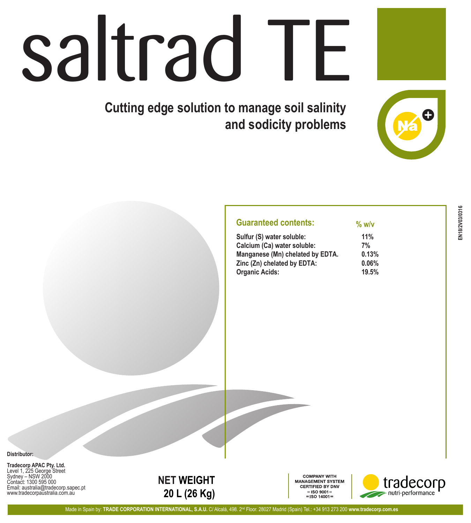## saltrad TE

**Cutting edge solution to manage soil salinity and sodicity problems**

| Sulfur (S) water soluble:        | 11%   |
|----------------------------------|-------|
| Calcium (Ca) water soluble:      | 7%    |
| Manganese (Mn) chelated by EDTA. | 0.13% |
| Zinc (Zn) chelated by EDTA:      | 0.06% |
| <b>Organic Acids:</b>            | 19.5% |

**% w/v**

**Distributor:**

**Tradecorp APAC Pty. Ltd.** Level 1, 225 George Street Sydney – NSW 2000 Contact: 1300 595 000 Email: australia@tradecorp.sapec.pt www.tradecorpaustralia.com.au



**COMPANY WITH** MANAGEMENT SYSTEM **CERTIFIED BY DNV**  $=$ ISO 9001 $=$  $=$  ISO 14001 =